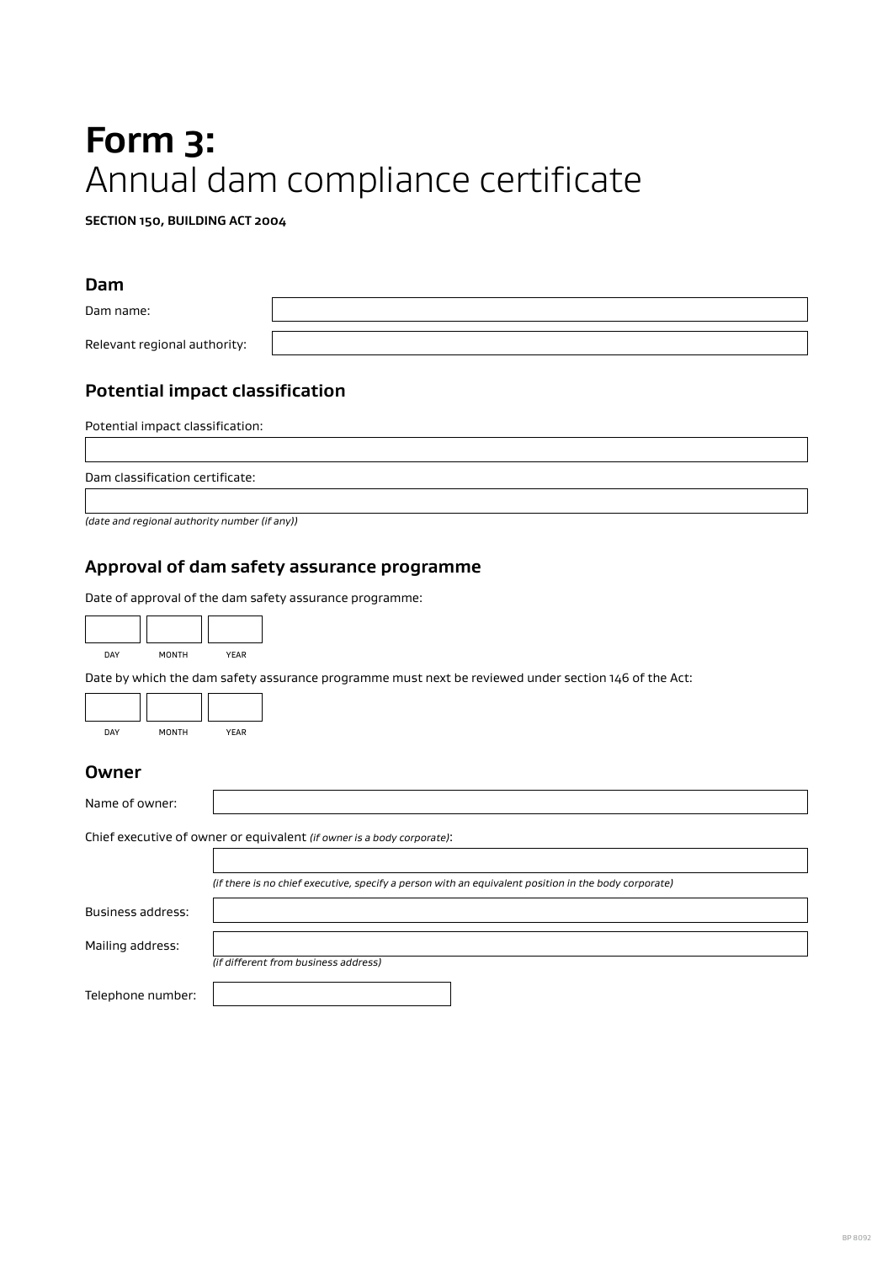# **Form 3:**  Annual dam compliance certificate

**SECTION 150, BUILDING ACT 2004**

#### **Dam**

Dam name: Relevant regional authority:

## **Potential impact classification**

Potential impact classification:

Dam classification certificate:

*(date and regional authority number (if any))*

#### **Approval of dam safety assurance programme**

Date of approval of the dam safety assurance programme:

| DAY | <b>MONTH</b> | <b>YEAR</b> |
|-----|--------------|-------------|

Date by which the dam safety assurance programme must next be reviewed under section 146 of the Act:

| <b>DAY</b> | <b>MONTH</b> | YFAR |
|------------|--------------|------|

#### **Owner**

| Name of owner:    |                                                                                                      |
|-------------------|------------------------------------------------------------------------------------------------------|
|                   | Chief executive of owner or equivalent (if owner is a body corporate):                               |
|                   |                                                                                                      |
|                   | (if there is no chief executive, specify a person with an equivalent position in the body corporate) |
| Business address: |                                                                                                      |
| Mailing address:  |                                                                                                      |
|                   | (if different from business address)                                                                 |
| Telephone number: |                                                                                                      |